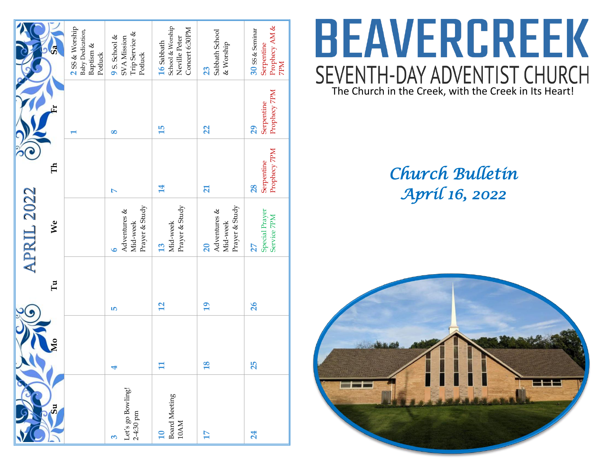| ශී                      | 2 SS & Worship<br>Baby Dedication,<br>Baptism &<br>Potluck | $\begin{array}{l} {\bf 9\ S.\ School\ \&\ \\ {\bf SVA\ Mission}\ \\ {\bf Trip\ Service\ \&\ } \end{array}$<br>Potluck | School & Worship<br>Concert 6:30PM<br>Neville Peter<br>16 Sabbath | Sabbath School<br>& Worship<br>23                | Prophecy AM &<br>30 SS & Seminar<br>Serpentine<br><b>NdZ</b> |
|-------------------------|------------------------------------------------------------|-----------------------------------------------------------------------------------------------------------------------|-------------------------------------------------------------------|--------------------------------------------------|--------------------------------------------------------------|
|                         |                                                            | 8                                                                                                                     | 15                                                                | 22                                               | Prophecy 7PM<br>Serpentine<br>29                             |
| Ě                       |                                                            | $\triangleright$                                                                                                      | $\overline{14}$                                                   | $\overline{\mathbf{z}}$                          | Prophecy 7PM<br>Serpentine<br>28                             |
| <b>APRIL 2022</b><br>We |                                                            | Prayer & Study<br>Adventures &<br>Mid-week<br>$\bullet$                                                               | Prayer & Study<br>Mid-week<br>13                                  | Prayer & Study<br>Adventures &<br>Mid-week<br>20 | Special Prayer<br>Service 7PM<br>27                          |
| Гu                      |                                                            | <b>LO</b>                                                                                                             | 12                                                                | $\overline{19}$                                  | 26                                                           |
|                         |                                                            | 4                                                                                                                     | $\mathbf{H}$                                                      | <b>18</b>                                        | 25                                                           |
| 5u                      |                                                            | Let's go Bowling!<br>2-4:30 pm<br>ო                                                                                   | <b>Board Meeting</b><br>$10AM$<br>$\mathbf{u}$                    | 17                                               | 24                                                           |

# **BEAVERCREEK** SEVENTH-DAY ADVENTIST CHURCH<br>The Church in the Creek, with the Creek in Its Heart!

## *Church Bulletin April 16, 2022*